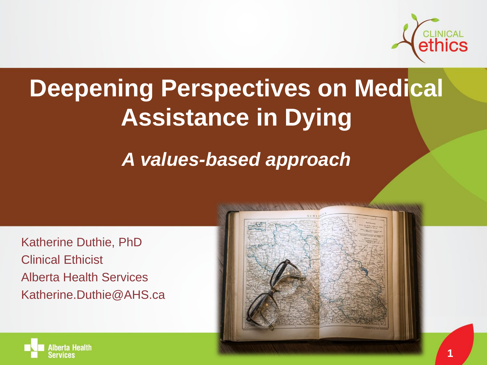

### **Deepening Perspectives on Medical Assistance in Dying**

#### *A values-based approach*

Katherine Duthie, PhD Clinical Ethicist Alberta Health Services Katherine.Duthie@AHS.ca



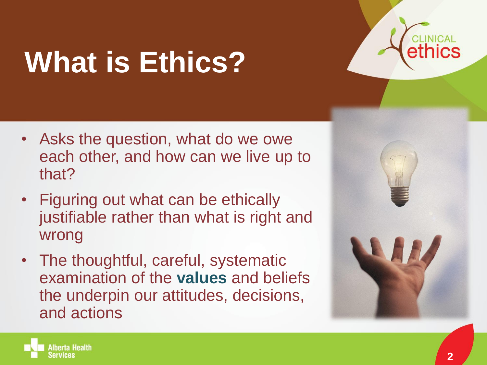# **What is Ethics?**

- Asks the question, what do we owe each other, and how can we live up to that?
- Figuring out what can be ethically justifiable rather than what is right and wrong
- The thoughtful, careful, systematic examination of the **values** and beliefs the underpin our attitudes, decisions, and actions



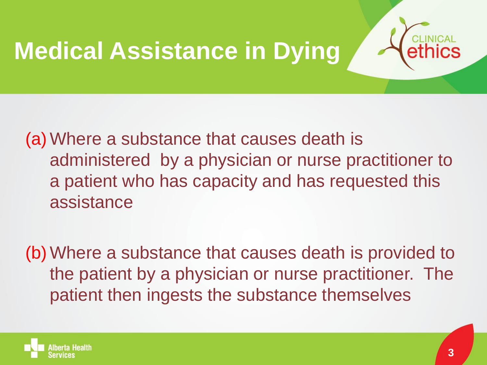### **Medical Assistance in Dying**



(a) Where a substance that causes death is administered by a physician or nurse practitioner to a patient who has capacity and has requested this assistance

(b) Where a substance that causes death is provided to the patient by a physician or nurse practitioner. The patient then ingests the substance themselves

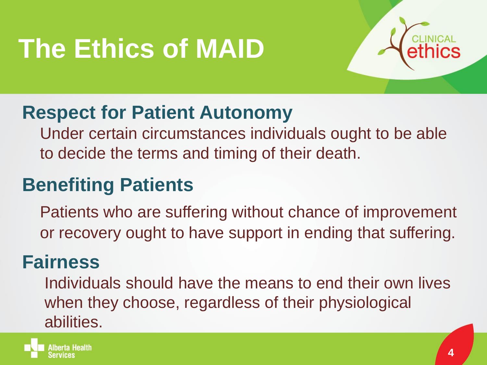# **The Ethics of MAID**



#### **Respect for Patient Autonomy**

 Under certain circumstances individuals ought to be able to decide the terms and timing of their death.

#### **Benefiting Patients**

 Patients who are suffering without chance of improvement or recovery ought to have support in ending that suffering.

#### **Fairness**

 Individuals should have the means to end their own lives when they choose, regardless of their physiological abilities.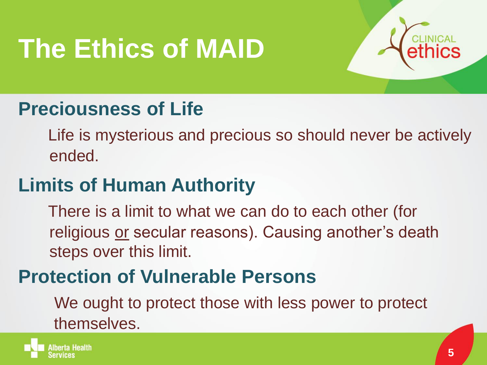# **The Ethics of MAID**



#### **Preciousness of Life**

 Life is mysterious and precious so should never be actively ended.

#### **Limits of Human Authority**

 There is a limit to what we can do to each other (for religious or secular reasons). Causing another's death steps over this limit.

#### **Protection of Vulnerable Persons**

 We ought to protect those with less power to protect themselves.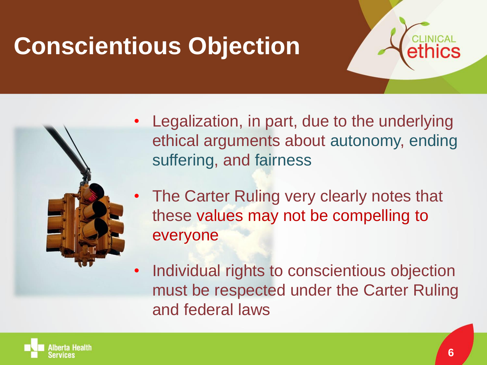### **Conscientious Objection**





- Legalization, in part, due to the underlying ethical arguments about autonomy, ending suffering, and fairness
- The Carter Ruling very clearly notes that these values may not be compelling to everyone
- Individual rights to conscientious objection must be respected under the Carter Ruling and federal laws

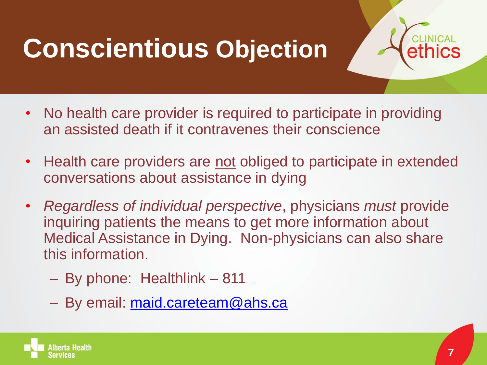### **Conscientious Objection**



- No health care provider is required to participate in providing an assisted death if it contravenes their conscience
- Health care providers are not obliged to participate in extended conversations about assistance in dying
- *Regardless of individual perspective*, physicians *must* provide inquiring patients the means to get more information about Medical Assistance in Dying. Non-physicians can also share this information.
	- By phone: Healthlink 811
	- By email: [maid.careteam@ahs.ca](mailto:maid.careteam@ahs.ca)

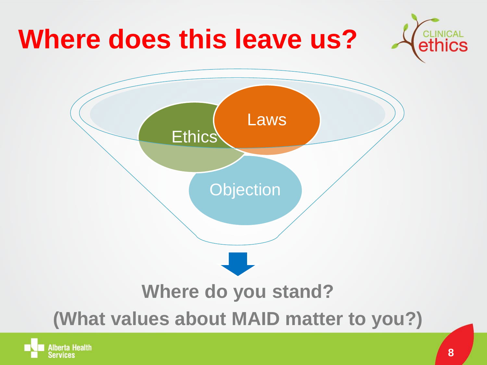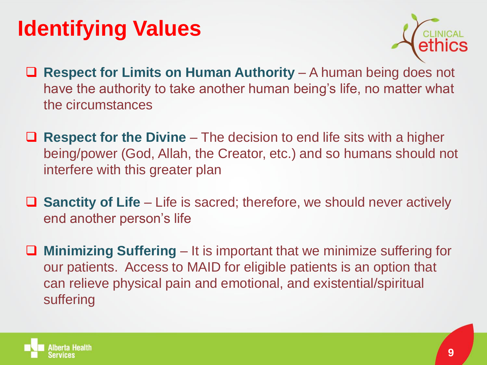### **Identifying Values**



- Respect for Limits on Human Authority A human being does not have the authority to take another human being's life, no matter what the circumstances
- **Respect for the Divine** The decision to end life sits with a higher being/power (God, Allah, the Creator, etc.) and so humans should not interfere with this greater plan
- **Sanctity of Life** Life is sacred; therefore, we should never actively end another person's life
- **Minimizing Suffering** It is important that we minimize suffering for our patients. Access to MAID for eligible patients is an option that can relieve physical pain and emotional, and existential/spiritual suffering

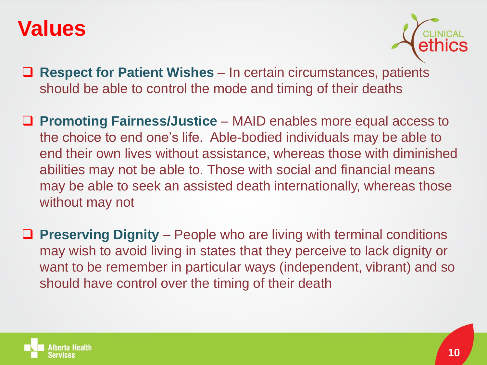

- **Respect for Patient Wishes**  In certain circumstances, patients should be able to control the mode and timing of their deaths
- **Promoting Fairness/Justice**  MAID enables more equal access to the choice to end one's life. Able-bodied individuals may be able to end their own lives without assistance, whereas those with diminished abilities may not be able to. Those with social and financial means may be able to seek an assisted death internationally, whereas those without may not
- Preserving Dignity People who are living with terminal conditions may wish to avoid living in states that they perceive to lack dignity or want to be remember in particular ways (independent, vibrant) and so should have control over the timing of their death

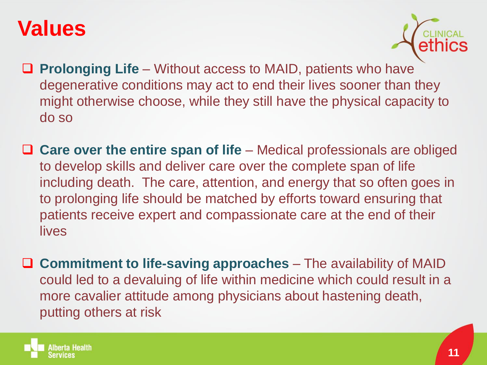

- Prolonging Life Without access to MAID, patients who have degenerative conditions may act to end their lives sooner than they might otherwise choose, while they still have the physical capacity to do so
- **Care over the entire span of life** Medical professionals are obliged to develop skills and deliver care over the complete span of life including death. The care, attention, and energy that so often goes in to prolonging life should be matched by efforts toward ensuring that patients receive expert and compassionate care at the end of their lives
- **Commitment to life-saving approaches** The availability of MAID could led to a devaluing of life within medicine which could result in a more cavalier attitude among physicians about hastening death, putting others at risk

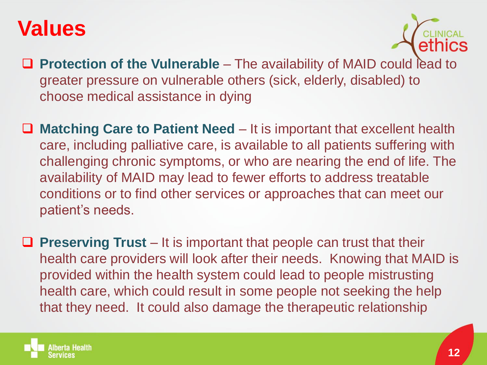

- **Protection of the Vulnerable** The availability of MAID could lead to greater pressure on vulnerable others (sick, elderly, disabled) to choose medical assistance in dying
- Matching Care to Patient Need It is important that excellent health care, including palliative care, is available to all patients suffering with challenging chronic symptoms, or who are nearing the end of life. The availability of MAID may lead to fewer efforts to address treatable conditions or to find other services or approaches that can meet our patient's needs.
- Preserving Trust It is important that people can trust that their health care providers will look after their needs. Knowing that MAID is provided within the health system could lead to people mistrusting health care, which could result in some people not seeking the help that they need. It could also damage the therapeutic relationship

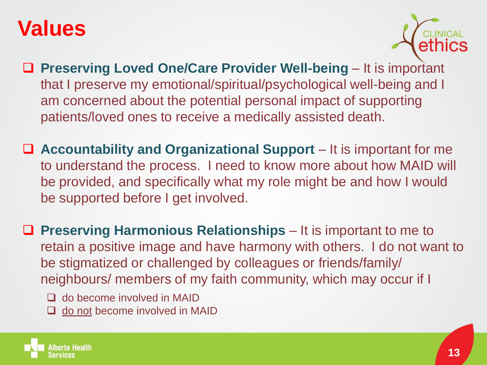

- Preserving Loved One/Care Provider Well-being It is important that I preserve my emotional/spiritual/psychological well-being and I am concerned about the potential personal impact of supporting patients/loved ones to receive a medically assisted death.
- **Accountability and Organizational Support** It is important for me to understand the process. I need to know more about how MAID will be provided, and specifically what my role might be and how I would be supported before I get involved.
- **Preserving Harmonious Relationships** It is important to me to retain a positive image and have harmony with others. I do not want to be stigmatized or challenged by colleagues or friends/family/ neighbours/ members of my faith community, which may occur if I
	- □ do become involved in MAID
	- $\Box$  do not become involved in MAID

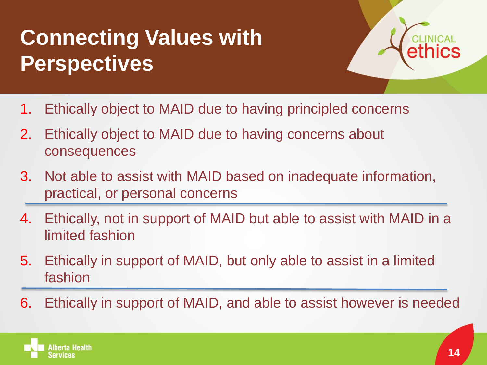### **Connecting Values with Perspectives**



- 1. Ethically object to MAID due to having principled concerns
- 2. Ethically object to MAID due to having concerns about consequences
- 3. Not able to assist with MAID based on inadequate information, practical, or personal concerns
- 4. Ethically, not in support of MAID but able to assist with MAID in a limited fashion
- 5. Ethically in support of MAID, but only able to assist in a limited fashion
- 6. Ethically in support of MAID, and able to assist however is needed

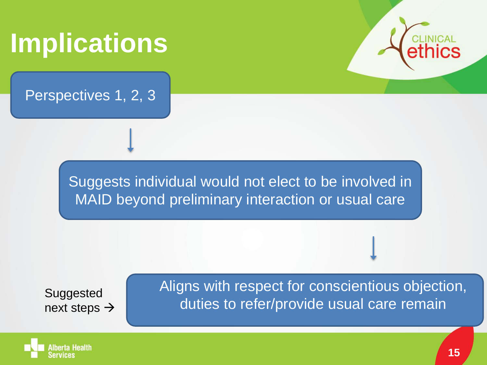### **Implications**

Perspectives 1, 2, 3



Suggests individual would not elect to be involved in MAID beyond preliminary interaction or usual care

Suggested next steps  $\rightarrow$  Aligns with respect for conscientious objection, duties to refer/provide usual care remain

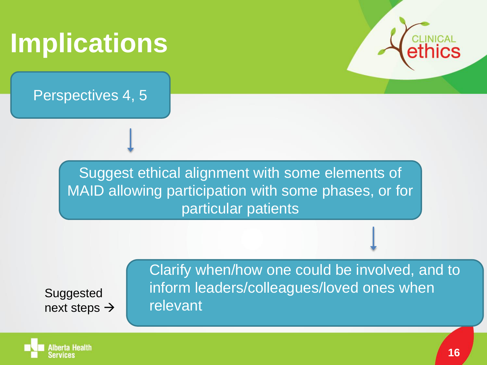### **Implications**

Perspectives 4, 5



Suggested next steps  $\rightarrow$  Clarify when/how one could be involved, and to inform leaders/colleagues/loved ones when relevant

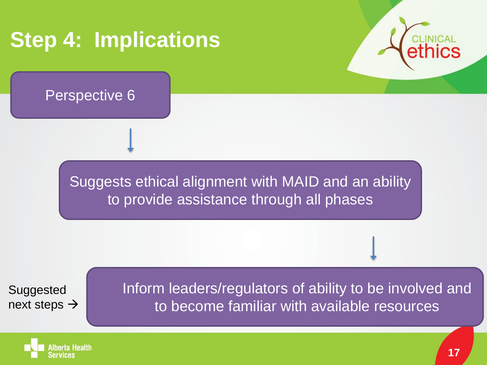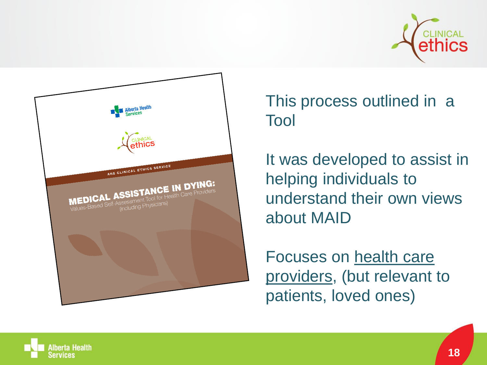



This process outlined in a Tool

It was developed to assist in helping individuals to understand their own views about MAID

Focuses on health care providers, (but relevant to patients, loved ones)

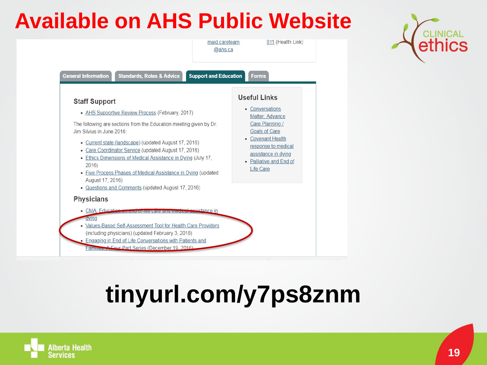### **Available on AHS Public Website**



### **tinyurl.com/y7ps8znm**